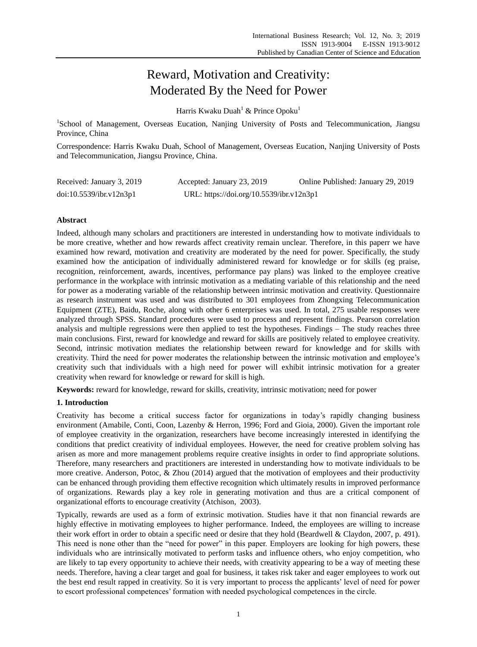# Reward, Motivation and Creativity: Moderated By the Need for Power

Harris Kwaku Duah<sup>1</sup> & Prince Opoku<sup>1</sup>

<sup>1</sup>School of Management, Overseas Eucation, Nanjing University of Posts and Telecommunication, Jiangsu Province, China

Correspondence: Harris Kwaku Duah, School of Management, Overseas Eucation, Nanjing University of Posts and Telecommunication, Jiangsu Province, China.

| Received: January 3, 2019 | Accepted: January 23, 2019               | Online Published: January 29, 2019 |
|---------------------------|------------------------------------------|------------------------------------|
| doi:10.5539/ibr.v12n3p1   | URL: https://doi.org/10.5539/ibr.v12n3p1 |                                    |

# **Abstract**

Indeed, although many scholars and practitioners are interested in understanding how to motivate individuals to be more creative, whether and how rewards affect creativity remain unclear. Therefore, in this paperr we have examined how reward, motivation and creativity are moderated by the need for power. Specifically, the study examined how the anticipation of individually administered reward for knowledge or for skills (eg praise, recognition, reinforcement, awards, incentives, performance pay plans) was linked to the employee creative performance in the workplace with intrinsic motivation as a mediating variable of this relationship and the need for power as a moderating variable of the relationship between intrinsic motivation and creativity. Questionnaire as research instrument was used and was distributed to 301 employees from Zhongxing Telecommunication Equipment (ZTE), Baidu, Roche, along with other 6 enterprises was used. In total, 275 usable responses were analyzed through SPSS. Standard procedures were used to process and represent findings. Pearson correlation analysis and multiple regressions were then applied to test the hypotheses. Findings – The study reaches three main conclusions. First, reward for knowledge and reward for skills are positively related to employee creativity. Second, intrinsic motivation mediates the relationship between reward for knowledge and for skills with creativity. Third the need for power moderates the relationship between the intrinsic motivation and employee's creativity such that individuals with a high need for power will exhibit intrinsic motivation for a greater creativity when reward for knowledge or reward for skill is high.

**Keywords:** reward for knowledge, reward for skills, creativity, intrinsic motivation; need for power

# **1. Introduction**

Creativity has become a critical success factor for organizations in today's rapidly changing business environment (Amabile, Conti, Coon, Lazenby & Herron, 1996; Ford and Gioia, 2000). Given the important role of employee creativity in the organization, researchers have become increasingly interested in identifying the conditions that predict creativity of individual employees. However, the need for creative problem solving has arisen as more and more management problems require creative insights in order to find appropriate solutions. Therefore, many researchers and practitioners are interested in understanding how to motivate individuals to be more creative. Anderson, Potoc, & Zhou (2014) argued that the motivation of employees and their productivity can be enhanced through providing them effective recognition which ultimately results in improved performance of organizations. Rewards play a key role in generating motivation and thus are a critical component of organizational efforts to encourage creativity (Atchison, 2003).

Typically, rewards are used as a form of extrinsic motivation. Studies have it that non financial rewards are highly effective in motivating employees to higher performance. Indeed, the employees are willing to increase their work effort in order to obtain a specific need or desire that they hold (Beardwell & Claydon, 2007, p. 491). This need is none other than the "need for power" in this paper. Employers are looking for high powers, these individuals who are intrinsically motivated to perform tasks and influence others, who enjoy competition, who are likely to tap every opportunity to achieve their needs, with creativity appearing to be a way of meeting these needs. Therefore, having a clear target and goal for business, it takes risk taker and eager employees to work out the best end result rapped in creativity. So it is very important to process the applicants' level of need for power to escort professional competences' formation with needed psychological competences in the circle.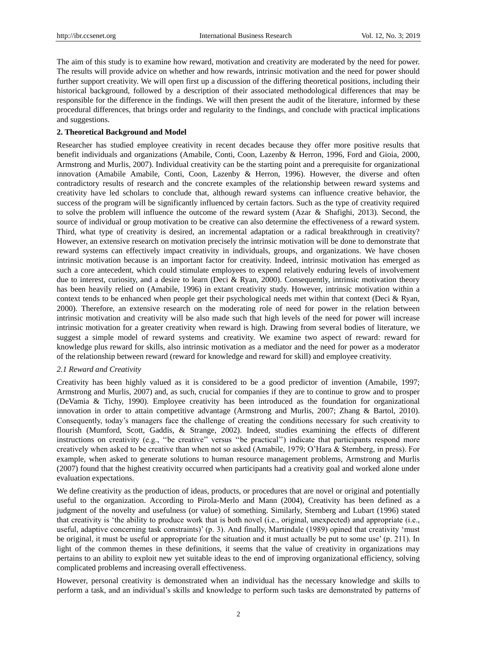The aim of this study is to examine how reward, motivation and creativity are moderated by the need for power. The results will provide advice on whether and how rewards, intrinsic motivation and the need for power should further support creativity. We will open first up a discussion of the differing theoretical positions, including their historical background, followed by a description of their associated methodological differences that may be responsible for the difference in the findings. We will then present the audit of the literature, informed by these procedural differences, that brings order and regularity to the findings, and conclude with practical implications and suggestions.

#### **2. Theoretical Background and Model**

Researcher has studied employee creativity in recent decades because they offer more positive results that benefit individuals and organizations (Amabile, Conti, Coon, Lazenby & Herron, 1996, Ford and Gioia, 2000, Armstrong and Murlis, 2007). Individual creativity can be the starting point and a prerequisite for organizational innovation (Amabile Amabile, Conti, Coon, Lazenby & Herron, 1996). However, the diverse and often contradictory results of research and the concrete examples of the relationship between reward systems and creativity have led scholars to conclude that, although reward systems can influence creative behavior, the success of the program will be significantly influenced by certain factors. Such as the type of creativity required to solve the problem will influence the outcome of the reward system (Azar & Shafighi, 2013). Second, the source of individual or group motivation to be creative can also determine the effectiveness of a reward system. Third, what type of creativity is desired, an incremental adaptation or a radical breakthrough in creativity? However, an extensive research on motivation precisely the intrinsic motivation will be done to demonstrate that reward systems can effectively impact creativity in individuals, groups, and organizations. We have chosen intrinsic motivation because is an important factor for creativity. Indeed, intrinsic motivation has emerged as such a core antecedent, which could stimulate employees to expend relatively enduring levels of involvement due to interest, curiosity, and a desire to learn (Deci & Ryan, 2000). Consequently, intrinsic motivation theory has been heavily relied on (Amabile, 1996) in extant creativity study. However, intrinsic motivation within a context tends to be enhanced when people get their psychological needs met within that context (Deci & Ryan, 2000). Therefore, an extensive research on the moderating role of need for power in the relation between intrinsic motivation and creativity will be also made such that high levels of the need for power will increase intrinsic motivation for a greater creativity when reward is high. Drawing from several bodies of literature, we suggest a simple model of reward systems and creativity. We examine two aspect of reward: reward for knowledge plus reward for skills, also intrinsic motivation as a mediator and the need for power as a moderator of the relationship between reward (reward for knowledge and reward for skill) and employee creativity.

#### *2.1 Reward and Creativity*

Creativity has been highly valued as it is considered to be a good predictor of invention (Amabile, 1997; Armstrong and Murlis, 2007) and, as such, crucial for companies if they are to continue to grow and to prosper (DeVamia & Tichy, 1990). Employee creativity has been introduced as the foundation for organizational innovation in order to attain competitive advantage (Armstrong and Murlis, 2007; Zhang & Bartol, 2010). Consequently, today's managers face the challenge of creating the conditions necessary for such creativity to flourish (Mumford, Scott, Gaddis, & Strange, 2002). Indeed, studies examining the effects of different instructions on creativity (e.g., "be creative" versus "be practical") indicate that participants respond more creatively when asked to be creative than when not so asked (Amabile, 1979; O'Hara & Sternberg, in press). For example, when asked to generate solutions to human resource management problems, Armstrong and Murlis (2007) found that the highest creativity occurred when participants had a creativity goal and worked alone under evaluation expectations.

We define creativity as the production of ideas, products, or procedures that are novel or original and potentially useful to the organization. According to Pirola-Merlo and Mann (2004), Creativity has been defined as a judgment of the novelty and usefulness (or value) of something. Similarly, Sternberg and Lubart (1996) stated that creativity is 'the ability to produce work that is both novel (i.e., original, unexpected) and appropriate (i.e., useful, adaptive concerning task constraints)' (p. 3). And finally, Martindale (1989) opined that creativity 'must be original, it must be useful or appropriate for the situation and it must actually be put to some use' (p. 211). In light of the common themes in these definitions, it seems that the value of creativity in organizations may pertains to an ability to exploit new yet suitable ideas to the end of improving organizational efficiency, solving complicated problems and increasing overall effectiveness.

However, personal creativity is demonstrated when an individual has the necessary knowledge and skills to perform a task, and an individual's skills and knowledge to perform such tasks are demonstrated by patterns of

2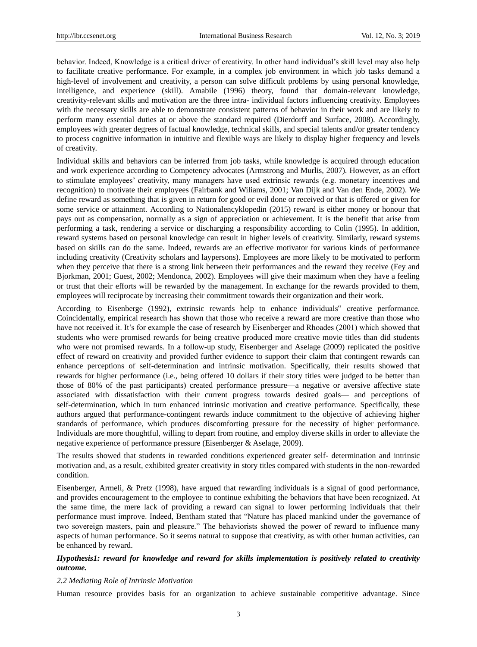behavior. Indeed, Knowledge is a critical driver of creativity. In other hand individual's skill level may also help to facilitate creative performance. For example, in a complex job environment in which job tasks demand a high-level of involvement and creativity, a person can solve difficult problems by using personal knowledge, intelligence, and experience (skill). Amabile (1996) theory, found that domain-relevant knowledge, creativity-relevant skills and motivation are the three intra- individual factors influencing creativity. Employees with the necessary skills are able to demonstrate consistent patterns of behavior in their work and are likely to perform many essential duties at or above the standard required (Dierdorff and Surface, 2008). Accordingly, employees with greater degrees of factual knowledge, technical skills, and special talents and/or greater tendency to process cognitive information in intuitive and flexible ways are likely to display higher frequency and levels of creativity.

Individual skills and behaviors can be inferred from job tasks, while knowledge is acquired through education and work experience according to Competency advocates (Armstrong and Murlis, 2007). However, as an effort to stimulate employees' creativity, many managers have used extrinsic rewards (e.g. monetary incentives and recognition) to motivate their employees (Fairbank and Wiliams, 2001; Van Dijk and Van den Ende, 2002). We define reward as something that is given in return for good or evil done or received or that is offered or given for some service or attainment. According to Nationalencyklopedin (2015) reward is either money or honour that pays out as compensation, normally as a sign of appreciation or achievement. It is the benefit that arise from performing a task, rendering a service or discharging a responsibility according to Colin (1995). In addition, reward systems based on personal knowledge can result in higher levels of creativity. Similarly, reward systems based on skills can do the same. Indeed, rewards are an effective motivator for various kinds of performance including creativity (Creativity scholars and laypersons). Employees are more likely to be motivated to perform when they perceive that there is a strong link between their performances and the reward they receive (Fey and Bjorkman, 2001; Guest, 2002; Mendonca, 2002). Employees will give their maximum when they have a feeling or trust that their efforts will be rewarded by the management. In exchange for the rewards provided to them, employees will reciprocate by increasing their commitment towards their organization and their work.

According to Eisenberge (1992), extrinsic rewards help to enhance individuals" creative performance. Coincidentally, empirical research has shown that those who receive a reward are more creative than those who have not received it. It's for example the case of research by Eisenberger and Rhoades (2001) which showed that students who were promised rewards for being creative produced more creative movie titles than did students who were not promised rewards. In a follow-up study, Eisenberger and Aselage (2009) replicated the positive effect of reward on creativity and provided further evidence to support their claim that contingent rewards can enhance perceptions of self-determination and intrinsic motivation. Specifically, their results showed that rewards for higher performance (i.e., being offered 10 dollars if their story titles were judged to be better than those of 80% of the past participants) created performance pressure—a negative or aversive affective state associated with dissatisfaction with their current progress towards desired goals— and perceptions of self-determination, which in turn enhanced intrinsic motivation and creative performance. Specifically, these authors argued that performance-contingent rewards induce commitment to the objective of achieving higher standards of performance, which produces discomforting pressure for the necessity of higher performance. Individuals are more thoughtful, willing to depart from routine, and employ diverse skills in order to alleviate the negative experience of performance pressure (Eisenberger & Aselage, 2009).

The results showed that students in rewarded conditions experienced greater self- determination and intrinsic motivation and, as a result, exhibited greater creativity in story titles compared with students in the non-rewarded condition.

Eisenberger, Armeli, & Pretz (1998), have argued that rewarding individuals is a signal of good performance, and provides encouragement to the employee to continue exhibiting the behaviors that have been recognized. At the same time, the mere lack of providing a reward can signal to lower performing individuals that their performance must improve. Indeed, Bentham stated that "Nature has placed mankind under the governance of two sovereign masters, pain and pleasure." The behaviorists showed the power of reward to influence many aspects of human performance. So it seems natural to suppose that creativity, as with other human activities, can be enhanced by reward.

# *Hypothesis1: reward for knowledge and reward for skills implementation is positively related to creativity outcome.*

## *2.2 Mediating Role of Intrinsic Motivation*

Human resource provides basis for an organization to achieve sustainable competitive advantage. Since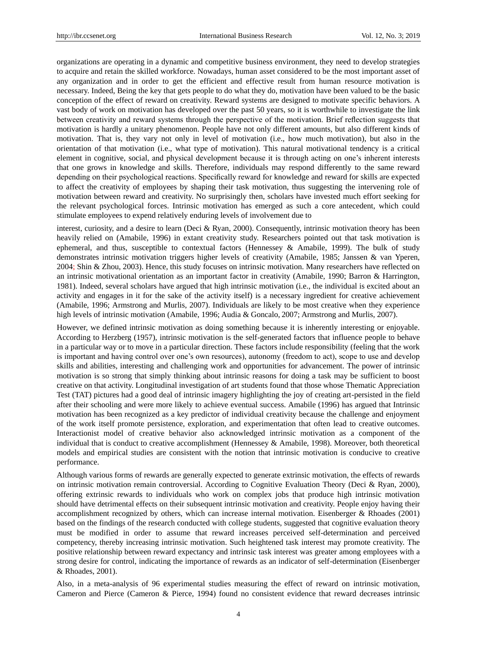organizations are operating in a dynamic and competitive business environment, they need to develop strategies to acquire and retain the skilled workforce. Nowadays, human asset considered to be the most important asset of any organization and in order to get the efficient and effective result from human resource motivation is necessary. Indeed, Being the key that gets people to do what they do, motivation have been valued to be the basic conception of the effect of reward on creativity. Reward systems are designed to motivate specific behaviors. A vast body of work on motivation has developed over the past 50 years, so it is worthwhile to investigate the link between creativity and reward systems through the perspective of the motivation. Brief reflection suggests that motivation is hardly a unitary phenomenon. People have not only different amounts, but also different kinds of motivation. That is, they vary not only in level of motivation (i.e., how much motivation), but also in the orientation of that motivation (i.e., what type of motivation). This natural motivational tendency is a critical element in cognitive, social, and physical development because it is through acting on one's inherent interests that one grows in knowledge and skills. Therefore, individuals may respond differently to the same reward depending on their psychological reactions. Specifically reward for knowledge and reward for skills are expected to affect the creativity of employees by shaping their task motivation, thus suggesting the intervening role of motivation between reward and creativity. No surprisingly then, scholars have invested much effort seeking for the relevant psychological forces. Intrinsic motivation has emerged as such a core antecedent, which could stimulate employees to expend relatively enduring levels of involvement due to

interest, curiosity, and a desire to learn (Deci & Ryan, 2000). Consequently, intrinsic motivation theory has been heavily relied on (Amabile, 1996) in extant creativity study. Researchers pointed out that task motivation is ephemeral, and thus, susceptible to contextual factors (Hennessey  $\&$  Amabile, 1999). The bulk of study demonstrates intrinsic motivation triggers higher levels of creativity (Amabile, 1985; Janssen & van Yperen, 2004; Shin & Zhou, 2003). Hence, this study focuses on intrinsic motivation. Many researchers have reflected on an intrinsic motivational orientation as an important factor in creativity (Amabile, 1990; Barron & Harrington, 1981). Indeed, several scholars have argued that high intrinsic motivation (i.e., the individual is excited about an activity and engages in it for the sake of the activity itself) is a necessary ingredient for creative achievement (Amabile, 1996; Armstrong and Murlis, 2007). Individuals are likely to be most creative when they experience high levels of intrinsic motivation (Amabile, 1996; Audia & Goncalo, 2007; Armstrong and Murlis, 2007).

However, we defined intrinsic motivation as doing something because it is inherently interesting or enjoyable. According to Herzberg (1957), intrinsic motivation is the self-generated factors that influence people to behave in a particular way or to move in a particular direction. These factors include responsibility (feeling that the work is important and having control over one's own resources), autonomy (freedom to act), scope to use and develop skills and abilities, interesting and challenging work and opportunities for advancement. The power of intrinsic motivation is so strong that simply thinking about intrinsic reasons for doing a task may be sufficient to boost creative on that activity. Longitudinal investigation of art students found that those whose Thematic Appreciation Test (TAT) pictures had a good deal of intrinsic imagery highlighting the joy of creating art-persisted in the field after their schooling and were more likely to achieve eventual success. Amabile (1996) has argued that Intrinsic motivation has been recognized as a key predictor of individual creativity because the challenge and enjoyment of the work itself promote persistence, exploration, and experimentation that often lead to creative outcomes. Interactionist model of creative behavior also acknowledged intrinsic motivation as a component of the individual that is conduct to creative accomplishment (Hennessey & Amabile, 1998). Moreover, both theoretical models and empirical studies are consistent with the notion that intrinsic motivation is conducive to creative performance.

Although various forms of rewards are generally expected to generate extrinsic motivation, the effects of rewards on intrinsic motivation remain controversial. According to Cognitive Evaluation Theory (Deci & Ryan, 2000), offering extrinsic rewards to individuals who work on complex jobs that produce high intrinsic motivation should have detrimental effects on their subsequent intrinsic motivation and creativity. People enjoy having their accomplishment recognized by others, which can increase internal motivation. Eisenberger & Rhoades (2001) based on the findings of the research conducted with college students, suggested that cognitive evaluation theory must be modified in order to assume that reward increases perceived self-determination and perceived competency, thereby increasing intrinsic motivation. Such heightened task interest may promote creativity. The positive relationship between reward expectancy and intrinsic task interest was greater among employees with a strong desire for control, indicating the importance of rewards as an indicator of self-determination (Eisenberger & Rhoades, 2001).

Also, in a meta-analysis of 96 experimental studies measuring the effect of reward on intrinsic motivation, Cameron and Pierce (Cameron & Pierce, 1994) found no consistent evidence that reward decreases intrinsic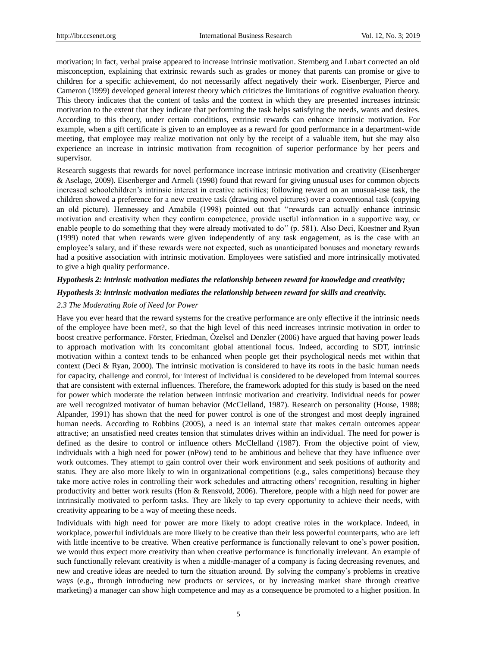motivation; in fact, verbal praise appeared to increase intrinsic motivation. Sternberg and Lubart corrected an old misconception, explaining that extrinsic rewards such as grades or money that parents can promise or give to children for a specific achievement, do not necessarily affect negatively their work. Eisenberger, Pierce and Cameron (1999) developed general interest theory which criticizes the limitations of cognitive evaluation theory. This theory indicates that the content of tasks and the context in which they are presented increases intrinsic motivation to the extent that they indicate that performing the task helps satisfying the needs, wants and desires. According to this theory, under certain conditions, extrinsic rewards can enhance intrinsic motivation. For example, when a gift certificate is given to an employee as a reward for good performance in a department-wide meeting, that employee may realize motivation not only by the receipt of a valuable item, but she may also experience an increase in intrinsic motivation from recognition of superior performance by her peers and supervisor.

Research suggests that rewards for novel performance increase intrinsic motivation and creativity (Eisenberger & Aselage, 2009). Eisenberger and Armeli (1998) found that reward for giving unusual uses for common objects increased schoolchildren's intrinsic interest in creative activities; following reward on an unusual-use task, the children showed a preference for a new creative task (drawing novel pictures) over a conventional task (copying an old picture). Hennessey and Amabile (1998) pointed out that "rewards can actually enhance intrinsic motivation and creativity when they confirm competence, provide useful information in a supportive way, or enable people to do something that they were already motivated to do'' (p. 581). Also Deci, Koestner and Ryan (1999) noted that when rewards were given independently of any task engagement, as is the case with an employee's salary, and if these rewards were not expected, such as unanticipated bonuses and monetary rewards had a positive association with intrinsic motivation. Employees were satisfied and more intrinsically motivated to give a high quality performance.

## *Hypothesis 2: intrinsic motivation mediates the relationship between reward for knowledge and creativity;*

#### *Hypothesis 3: intrinsic motivation mediates the relationship between reward for skills and creativity.*

## *2.3 The Moderating Role of Need for Power*

Have you ever heard that the reward systems for the creative performance are only effective if the intrinsic needs of the employee have been met?, so that the high level of this need increases intrinsic motivation in order to boost creative performance. Förster, Friedman, Özelsel and Denzler (2006) have argued that having power leads to approach motivation with its concomitant global attentional focus. Indeed, according to SDT, intrinsic motivation within a context tends to be enhanced when people get their psychological needs met within that context (Deci & Ryan, 2000). The intrinsic motivation is considered to have its roots in the basic human needs for capacity, challenge and control, for interest of individual is considered to be developed from internal sources that are consistent with external influences. Therefore, the framework adopted for this study is based on the need for power which moderate the relation between intrinsic motivation and creativity. Individual needs for power are well recognized motivator of human behavior (McClelland, 1987). Research on personality (House, 1988; Alpander, 1991) has shown that the need for power control is one of the strongest and most deeply ingrained human needs. According to Robbins (2005), a need is an internal state that makes certain outcomes appear attractive; an unsatisfied need creates tension that stimulates drives within an individual. The need for power is defined as the desire to control or influence others McClelland (1987). From the objective point of view, individuals with a high need for power (nPow) tend to be ambitious and believe that they have influence over work outcomes. They attempt to gain control over their work environment and seek positions of authority and status. They are also more likely to win in organizational competitions (e.g., sales competitions) because they take more active roles in controlling their work schedules and attracting others' recognition, resulting in higher productivity and better work results (Hon & Rensvold, 2006). Therefore, people with a high need for power are intrinsically motivated to perform tasks. They are likely to tap every opportunity to achieve their needs, with creativity appearing to be a way of meeting these needs.

Individuals with high need for power are more likely to adopt creative roles in the workplace. Indeed, in workplace, powerful individuals are more likely to be creative than their less powerful counterparts, who are left with little incentive to be creative. When creative performance is functionally relevant to one's power position, we would thus expect more creativity than when creative performance is functionally irrelevant. An example of such functionally relevant creativity is when a middle-manager of a company is facing decreasing revenues, and new and creative ideas are needed to turn the situation around. By solving the company's problems in creative ways (e.g., through introducing new products or services, or by increasing market share through creative marketing) a manager can show high competence and may as a consequence be promoted to a higher position. In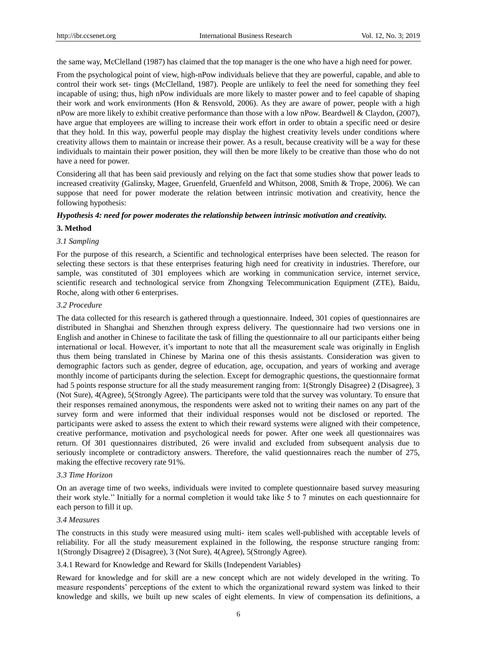the same way, McClelland (1987) has claimed that the top manager is the one who have a high need for power.

From the psychological point of view, high-nPow individuals believe that they are powerful, capable, and able to control their work set- tings (McClelland, 1987). People are unlikely to feel the need for something they feel incapable of using; thus, high nPow individuals are more likely to master power and to feel capable of shaping their work and work environments (Hon & Rensvold, 2006). As they are aware of power, people with a high nPow are more likely to exhibit creative performance than those with a low nPow. Beardwell & Claydon, (2007), have argue that employees are willing to increase their work effort in order to obtain a specific need or desire that they hold. In this way, powerful people may display the highest creativity levels under conditions where creativity allows them to maintain or increase their power. As a result, because creativity will be a way for these individuals to maintain their power position, they will then be more likely to be creative than those who do not have a need for power.

Considering all that has been said previously and relying on the fact that some studies show that power leads to increased creativity (Galinsky, Magee, Gruenfeld, Gruenfeld and Whitson, 2008, Smith & Trope, 2006). We can suppose that need for power moderate the relation between intrinsic motivation and creativity, hence the following hypothesis:

#### *Hypothesis 4: need for power moderates the relationship between intrinsic motivation and creativity.*

#### **3. Method**

#### *3.1 Sampling*

For the purpose of this research, a Scientific and technological enterprises have been selected. The reason for selecting these sectors is that these enterprises featuring high need for creativity in industries. Therefore, our sample, was constituted of 301 employees which are working in communication service, internet service, scientific research and technological service from Zhongxing Telecommunication Equipment (ZTE), Baidu, Roche, along with other 6 enterprises.

#### *3.2 Procedure*

The data collected for this research is gathered through a questionnaire. Indeed, 301 copies of questionnaires are distributed in Shanghai and Shenzhen through express delivery. The questionnaire had two versions one in English and another in Chinese to facilitate the task of filling the questionnaire to all our participants either being international or local. However, it's important to note that all the measurement scale was originally in English thus them being translated in Chinese by Marina one of this thesis assistants. Consideration was given to demographic factors such as gender, degree of education, age, occupation, and years of working and average monthly income of participants during the selection. Except for demographic questions, the questionnaire format had 5 points response structure for all the study measurement ranging from: 1(Strongly Disagree) 2 (Disagree), 3 (Not Sure), 4(Agree), 5(Strongly Agree). The participants were told that the survey was voluntary. To ensure that their responses remained anonymous, the respondents were asked not to writing their names on any part of the survey form and were informed that their individual responses would not be disclosed or reported. The participants were asked to assess the extent to which their reward systems were aligned with their competence, creative performance, motivation and psychological needs for power. After one week all questionnaires was return. Of 301 questionnaires distributed, 26 were invalid and excluded from subsequent analysis due to seriously incomplete or contradictory answers. Therefore, the valid questionnaires reach the number of 275, making the effective recovery rate 91%.

#### *3.3 Time Horizon*

On an average time of two weeks, individuals were invited to complete questionnaire based survey measuring their work style.'' Initially for a normal completion it would take like 5 to 7 minutes on each questionnaire for each person to fill it up.

## *3.4 Measures*

The constructs in this study were measured using multi- item scales well-published with acceptable levels of reliability. For all the study measurement explained in the following, the response structure ranging from: 1(Strongly Disagree) 2 (Disagree), 3 (Not Sure), 4(Agree), 5(Strongly Agree).

## 3.4.1 Reward for Knowledge and Reward for Skills (Independent Variables)

Reward for knowledge and for skill are a new concept which are not widely developed in the writing. To measure respondents' perceptions of the extent to which the organizational reward system was linked to their knowledge and skills, we built up new scales of eight elements. In view of compensation its definitions, a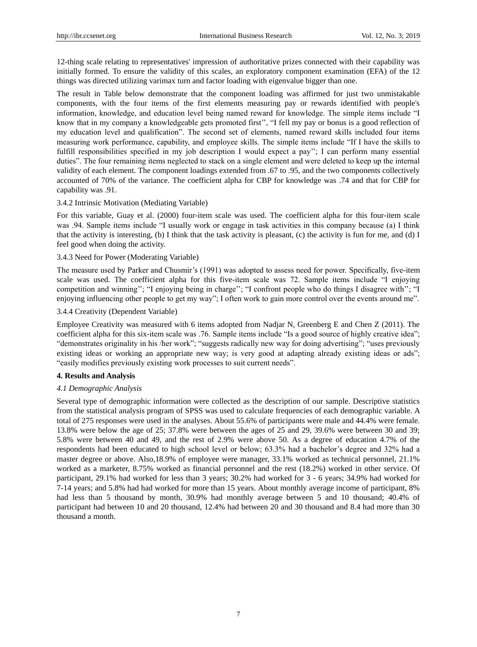12-thing scale relating to representatives' impression of authoritative prizes connected with their capability was initially formed. To ensure the validity of this scales, an exploratory component examination (EFA) of the 12 things was directed utilizing varimax turn and factor loading with eigenvalue bigger than one.

The result in Table below demonstrate that the component loading was affirmed for just two unmistakable components, with the four items of the first elements measuring pay or rewards identified with people's information, knowledge, and education level being named reward for knowledge. The simple items include "I know that in my company a knowledgeable gets promoted first", "I fell my pay or bonus is a good reflection of my education level and qualification". The second set of elements, named reward skills included four items measuring work performance, capability, and employee skills. The simple items include "If I have the skills to fulfill responsibilities specified in my job description I would expect a pay''; I can perform many essential duties". The four remaining items neglected to stack on a single element and were deleted to keep up the internal validity of each element. The component loadings extended from .67 to .95, and the two components collectively accounted of 70% of the variance. The coefficient alpha for CBP for knowledge was .74 and that for CBP for capability was .91.

## 3.4.2 Intrinsic Motivation (Mediating Variable)

For this variable, Guay et al. (2000) four-item scale was used. The coefficient alpha for this four-item scale was .94. Sample items include "I usually work or engage in task activities in this company because (a) I think that the activity is interesting, (b) I think that the task activity is pleasant, (c) the activity is fun for me, and (d) I feel good when doing the activity.

## 3.4.3 Need for Power (Moderating Variable)

The measure used by Parker and Chusmir's (1991) was adopted to assess need for power. Specifically, five-item scale was used. The coefficient alpha for this five-item scale was 72. Sample items include "I enjoying competition and winning"; "I enjoying being in charge"; "I confront people who do things I disagree with"; "I enjoying influencing other people to get my way"; I often work to gain more control over the events around me".

## 3.4.4 Creativity (Dependent Variable)

Employee Creativity was measured with 6 items adopted from Nadjar N, Greenberg E and Chen Z (2011). The coefficient alpha for this six-item scale was .76. Sample items include "Is a good source of highly creative idea"; "demonstrates originality in his /her work"; "suggests radically new way for doing advertising"; "uses previously existing ideas or working an appropriate new way; is very good at adapting already existing ideas or ads"; "easily modifies previously existing work processes to suit current needs".

#### **4. Results and Analysis**

# *4.1 Demographic Analysis*

Several type of demographic information were collected as the description of our sample. Descriptive statistics from the statistical analysis program of SPSS was used to calculate frequencies of each demographic variable. A total of 275 responses were used in the analyses. About 55.6% of participants were male and 44.4% were female. 13.8% were below the age of 25; 37.8% were between the ages of 25 and 29, 39.6% were between 30 and 39; 5.8% were between 40 and 49, and the rest of 2.9% were above 50. As a degree of education 4.7% of the respondents had been educated to high school level or below; 63.3% had a bachelor's degree and 32% had a master degree or above. Also,18.9% of employee were manager, 33.1% worked as technical personnel, 21.1% worked as a marketer, 8.75% worked as financial personnel and the rest (18.2%) worked in other service. Of participant, 29.1% had worked for less than 3 years; 30.2% had worked for 3 - 6 years; 34.9% had worked for 7-14 years; and 5.8% had had worked for more than 15 years. About monthly average income of participant, 8% had less than 5 thousand by month, 30.9% had monthly average between 5 and 10 thousand; 40.4% of participant had between 10 and 20 thousand, 12.4% had between 20 and 30 thousand and 8.4 had more than 30 thousand a month.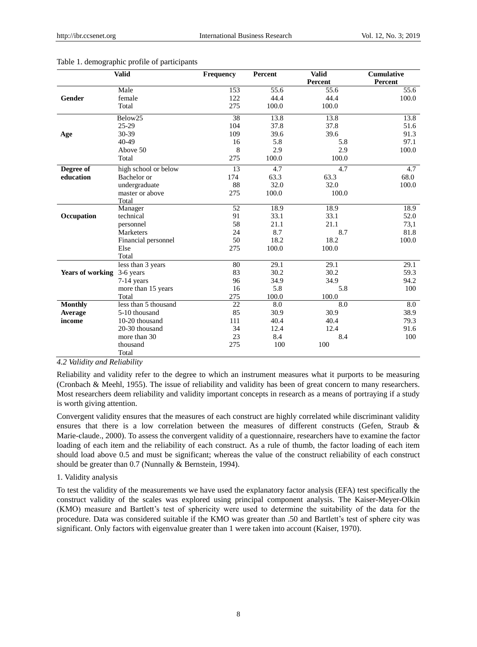| <b>Valid</b>            |                      | Frequency | Percent | <b>Valid</b> | Cumulative |  |
|-------------------------|----------------------|-----------|---------|--------------|------------|--|
|                         |                      |           |         | Percent      | Percent    |  |
|                         | Male                 | 153       | 55.6    | 55.6         | 55.6       |  |
| Gender                  | female               | 122       | 44.4    | 44.4         | 100.0      |  |
|                         | Total                | 275       | 100.0   | 100.0        |            |  |
|                         | Below25              | 38        | 13.8    | 13.8         | 13.8       |  |
|                         | 25-29                | 104       | 37.8    | 37.8         | 51.6       |  |
| Age                     | 30-39                | 109       | 39.6    | 39.6         | 91.3       |  |
|                         | 40-49                | 16        | 5.8     | 5.8          | 97.1       |  |
|                         | Above 50             | 8         | 2.9     | 2.9          | 100.0      |  |
|                         | Total                | 275       | 100.0   | 100.0        |            |  |
| Degree of               | high school or below | 13        | 4.7     | 4.7          | 4.7        |  |
| education               | Bachelor or          | 174       | 63.3    | 63.3         | 68.0       |  |
|                         | undergraduate        | 88        | 32.0    | 32.0         | 100.0      |  |
|                         | master or above      | 275       | 100.0   | 100.0        |            |  |
|                         | Total                |           |         |              |            |  |
|                         | Manager              | 52        | 18.9    | 18.9         | 18.9       |  |
| Occupation              | technical            | 91        | 33.1    | 33.1         | 52.0       |  |
|                         | personnel            | 58        | 21.1    | 21.1         | 73,1       |  |
|                         | Marketers            | 24        | 8.7     | 8.7          | 81.8       |  |
|                         | Financial personnel  | 50        | 18.2    | 18.2         | 100.0      |  |
|                         | Else                 | 275       | 100.0   | 100.0        |            |  |
|                         | Total                |           |         |              |            |  |
|                         | less than 3 years    | 80        | 29.1    | 29.1         | 29.1       |  |
| <b>Years of working</b> | 3-6 years            | 83        | 30.2    | 30.2         | 59.3       |  |
|                         | 7-14 years           | 96        | 34.9    | 34.9         | 94.2       |  |
|                         | more than 15 years   | 16        | 5.8     | 5.8          | 100        |  |
|                         | Total                | 275       | 100.0   | 100.0        |            |  |
| <b>Monthly</b>          | less than 5 thousand | 22        | 8.0     | 8.0          | 8.0        |  |
| Average                 | 5-10 thousand        | 85        | 30.9    | 30.9         | 38.9       |  |
| income                  | 10-20 thousand       | 111       | 40.4    | 40.4         | 79.3       |  |
|                         | 20-30 thousand       | 34        | 12.4    | 12.4         | 91.6       |  |
|                         | more than 30         | 23        | 8.4     | 8.4          | 100        |  |
|                         | thousand             | 275       | 100     | 100          |            |  |
|                         | Total                |           |         |              |            |  |

#### Table 1. demographic profile of participants

*4.2 Validity and Reliability*

Reliability and validity refer to the degree to which an instrument measures what it purports to be measuring (Cronbach & Meehl, 1955). The issue of reliability and validity has been of great concern to many researchers. Most researchers deem reliability and validity important concepts in research as a means of portraying if a study is worth giving attention.

Convergent validity ensures that the measures of each construct are highly correlated while discriminant validity ensures that there is a low correlation between the measures of different constructs (Gefen, Straub & Marie-claude., 2000). To assess the convergent validity of a questionnaire, researchers have to examine the factor loading of each item and the reliability of each construct. As a rule of thumb, the factor loading of each item should load above 0.5 and must be significant; whereas the value of the construct reliability of each construct should be greater than 0.7 (Nunnally & Bernstein, 1994).

## 1. Validity analysis

To test the validity of the measurements we have used the explanatory factor analysis (EFA) test specifically the construct validity of the scales was explored using principal component analysis. The Kaiser-Meyer-Olkin (KMO) measure and Bartlett's test of sphericity were used to determine the suitability of the data for the procedure. Data was considered suitable if the KMO was greater than .50 and Bartlett's test of sphere city was significant. Only factors with eigenvalue greater than 1 were taken into account (Kaiser, 1970).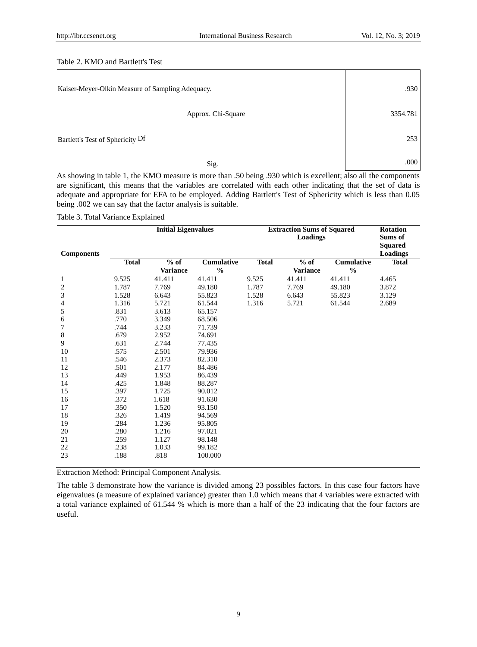# Table 2. KMO and Bartlett's Test

| Kaiser-Meyer-Olkin Measure of Sampling Adequacy. | .930     |
|--------------------------------------------------|----------|
| Approx. Chi-Square                               | 3354.781 |
| Bartlett's Test of Sphericity Df                 | 253      |
| Sig.                                             | .000     |

As showing in table 1, the KMO measure is more than .50 being .930 which is excellent; also all the components are significant, this means that the variables are correlated with each other indicating that the set of data is adequate and appropriate for EFA to be employed. Adding Bartlett's Test of Sphericity which is less than 0.05 being .002 we can say that the factor analysis is suitable.

Table 3. Total Variance Explained

|                   | <b>Initial Eigenvalues</b> |                 |                   | <b>Extraction Sums of Squared</b> | <b>Rotation</b> |                   |                 |
|-------------------|----------------------------|-----------------|-------------------|-----------------------------------|-----------------|-------------------|-----------------|
|                   |                            |                 |                   |                                   | Sums of         |                   |                 |
|                   |                            |                 |                   |                                   |                 |                   | <b>Squared</b>  |
| <b>Components</b> |                            |                 |                   |                                   |                 |                   | <b>Loadings</b> |
|                   | <b>Total</b>               | $%$ of          | <b>Cumulative</b> | <b>Total</b>                      | $%$ of          | <b>Cumulative</b> | <b>Total</b>    |
|                   |                            | <b>Variance</b> | $\frac{0}{0}$     |                                   | <b>Variance</b> | $\frac{0}{0}$     |                 |
| 1                 | 9.525                      | 41.411          | 41.411            | 9.525                             | 41.411          | 41.411            | 4.465           |
| $\overline{c}$    | 1.787                      | 7.769           | 49.180            | 1.787                             | 7.769           | 49.180            | 3.872           |
| 3                 | 1.528                      | 6.643           | 55.823            | 1.528                             | 6.643           | 55.823            | 3.129           |
| 4                 | 1.316                      | 5.721           | 61.544            | 1.316                             | 5.721           | 61.544            | 2.689           |
| 5                 | .831                       | 3.613           | 65.157            |                                   |                 |                   |                 |
| 6                 | .770                       | 3.349           | 68.506            |                                   |                 |                   |                 |
| 7                 | .744                       | 3.233           | 71.739            |                                   |                 |                   |                 |
| 8                 | .679                       | 2.952           | 74.691            |                                   |                 |                   |                 |
| 9                 | .631                       | 2.744           | 77.435            |                                   |                 |                   |                 |
| 10                | .575                       | 2.501           | 79.936            |                                   |                 |                   |                 |
| 11                | .546                       | 2.373           | 82.310            |                                   |                 |                   |                 |
| 12                | .501                       | 2.177           | 84.486            |                                   |                 |                   |                 |
| 13                | .449                       | 1.953           | 86.439            |                                   |                 |                   |                 |
| 14                | .425                       | 1.848           | 88.287            |                                   |                 |                   |                 |
| 15                | .397                       | 1.725           | 90.012            |                                   |                 |                   |                 |
| 16                | .372                       | 1.618           | 91.630            |                                   |                 |                   |                 |
| 17                | .350                       | 1.520           | 93.150            |                                   |                 |                   |                 |
| 18                | .326                       | 1.419           | 94.569            |                                   |                 |                   |                 |
| 19                | .284                       | 1.236           | 95.805            |                                   |                 |                   |                 |
| 20                | .280                       | 1.216           | 97.021            |                                   |                 |                   |                 |
| 21                | .259                       | 1.127           | 98.148            |                                   |                 |                   |                 |
| 22                | .238                       | 1.033           | 99.182            |                                   |                 |                   |                 |
| 23                | .188                       | .818            | 100.000           |                                   |                 |                   |                 |
|                   |                            |                 |                   |                                   |                 |                   |                 |

Extraction Method: Principal Component Analysis.

The table 3 demonstrate how the variance is divided among 23 possibles factors. In this case four factors have eigenvalues (a measure of explained variance) greater than 1.0 which means that 4 variables were extracted with a total variance explained of 61.544 % which is more than a half of the 23 indicating that the four factors are useful.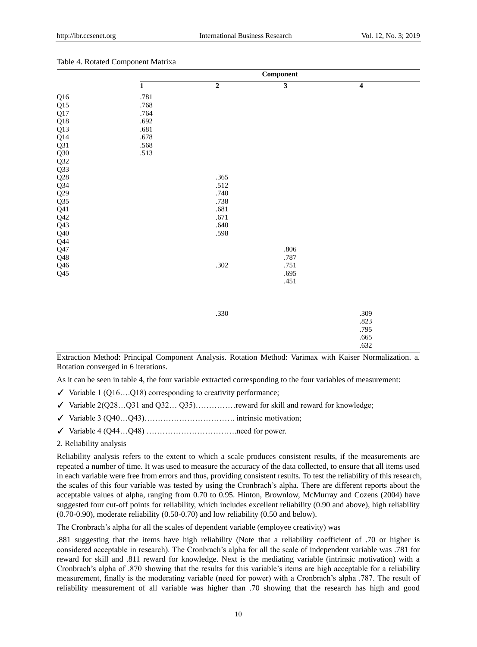|                                        | <b>Component</b> |                |                         |                  |  |  |  |  |
|----------------------------------------|------------------|----------------|-------------------------|------------------|--|--|--|--|
|                                        | $\overline{1}$   | $\overline{2}$ | $\overline{\mathbf{3}}$ | $\boldsymbol{4}$ |  |  |  |  |
| Q16<br>Q15<br>Q17                      | .781             |                |                         |                  |  |  |  |  |
|                                        | .768             |                |                         |                  |  |  |  |  |
|                                        | .764             |                |                         |                  |  |  |  |  |
| $Q18$<br>$Q13$<br>$Q14$                | .692             |                |                         |                  |  |  |  |  |
|                                        | .681             |                |                         |                  |  |  |  |  |
|                                        | .678             |                |                         |                  |  |  |  |  |
|                                        | .568             |                |                         |                  |  |  |  |  |
|                                        | .513             |                |                         |                  |  |  |  |  |
| $Q31$<br>$Q30$<br>$Q32$<br>$Q33$       |                  |                |                         |                  |  |  |  |  |
|                                        |                  |                |                         |                  |  |  |  |  |
| $Q28$<br>$Q34$                         |                  | .365           |                         |                  |  |  |  |  |
|                                        |                  | .512           |                         |                  |  |  |  |  |
|                                        |                  | .740           |                         |                  |  |  |  |  |
| Q29<br>Q35<br>Q41<br>Q42<br>Q43<br>Q40 |                  | .738           |                         |                  |  |  |  |  |
|                                        |                  | .681           |                         |                  |  |  |  |  |
|                                        |                  | .671           |                         |                  |  |  |  |  |
|                                        |                  | .640           |                         |                  |  |  |  |  |
|                                        |                  | .598           |                         |                  |  |  |  |  |
| $\overline{\text{Q}}44$                |                  |                |                         |                  |  |  |  |  |
| ${\sf Q47}$                            |                  |                | $.806\,$                |                  |  |  |  |  |
| $\overline{Q}$ 48                      |                  |                | $.787\,$                |                  |  |  |  |  |
| $\mathsf{Q46}$                         |                  | .302           | .751                    |                  |  |  |  |  |
| Q <sub>45</sub>                        |                  |                | .695                    |                  |  |  |  |  |
|                                        |                  |                | .451                    |                  |  |  |  |  |
|                                        |                  |                |                         |                  |  |  |  |  |
|                                        |                  |                |                         |                  |  |  |  |  |
|                                        |                  |                |                         |                  |  |  |  |  |
|                                        |                  | .330           |                         | .309             |  |  |  |  |
|                                        |                  |                |                         | .823             |  |  |  |  |
|                                        |                  |                |                         | .795             |  |  |  |  |
|                                        |                  |                |                         | .665             |  |  |  |  |
|                                        |                  |                |                         | .632             |  |  |  |  |

#### Table 4. Rotated Component Matrixa

Extraction Method: Principal Component Analysis. Rotation Method: Varimax with Kaiser Normalization. a. Rotation converged in 6 iterations.

As it can be seen in table 4, the four variable extracted corresponding to the four variables of measurement:

- $\checkmark$  Variable 1 (Q16....Q18) corresponding to creativity performance;
- ✓ Variable 2(Q28…Q31 and Q32… Q35)……………reward for skill and reward for knowledge;
- $\checkmark$  Variable 3 (040...043)……………………………………… intrinsic motivation;
- ✓ Variable 4 (Q44…Q48) …………………………….need for power.

## 2. Reliability analysis

Reliability analysis refers to the extent to which a scale produces consistent results, if the measurements are repeated a number of time. It was used to measure the accuracy of the data collected, to ensure that all items used in each variable were free from errors and thus, providing consistent results. To test the reliability of this research, the scales of this four variable was tested by using the Cronbrach's alpha. There are different reports about the acceptable values of alpha, ranging from 0.70 to 0.95. Hinton, Brownlow, McMurray and Cozens (2004) have suggested four cut-off points for reliability, which includes excellent reliability (0.90 and above), high reliability (0.70-0.90), moderate reliability (0.50-0.70) and low reliability (0.50 and below).

The Cronbrach's alpha for all the scales of dependent variable (employee creativity) was

.881 suggesting that the items have high reliability (Note that a reliability coefficient of .70 or higher is considered acceptable in research). The Cronbrach's alpha for all the scale of independent variable was .781 for reward for skill and .811 reward for knowledge. Next is the mediating variable (intrinsic motivation) with a Cronbrach's alpha of .870 showing that the results for this variable's items are high acceptable for a reliability measurement, finally is the moderating variable (need for power) with a Cronbrach's alpha .787. The result of reliability measurement of all variable was higher than .70 showing that the research has high and good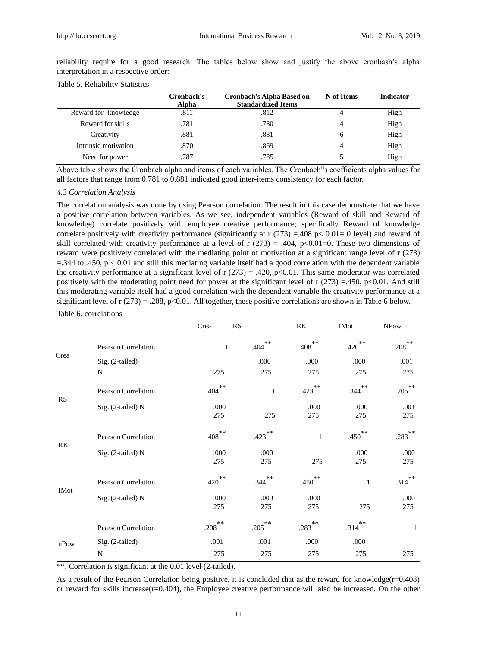|                      | Cronbach's<br>Alpha | <b>Cronbach's Alpha Based on</b><br><b>Standardized Items</b> | N of Items | <b>Indicator</b> |
|----------------------|---------------------|---------------------------------------------------------------|------------|------------------|
| Reward for knowledge | .811                | .812                                                          |            | High             |
| Reward for skills    | .781                | .780                                                          | 4          | High             |
| Creativity           | .881                | .881                                                          | 6          | High             |
| Intrinsic motivation | .870                | .869                                                          | 4          | High             |
| Need for power       | .787                | .785                                                          |            | High             |

reliability require for a good research. The tables below show and justify the above cronbash's alpha interpretation in a respective order:

## Table 5. Reliability Statistics

Above table shows the Cronbach alpha and items of each variables. The Cronbach"s coefficients alpha values for all factors that range from 0.781 to 0.881 indicated good inter-items consistency for each factor.

#### *4.3 Correlation Analysis*

The correlation analysis was done by using Pearson correlation. The result in this case demonstrate that we have a positive correlation between variables. As we see, independent variables (Reward of skill and Reward of knowledge) correlate positively with employee creative performance; specifically Reward of knowledge correlate positively with creativity performance (significantly at r  $(273) = .408$  p< 0.01= 0 level) and reward of skill correlated with creativity performance at a level of r  $(273) = .404$ , p<0.01=0. These two dimensions of reward were positively correlated with the mediating point of motivation at a significant range level of r (273)  $=$ .344 to .450, p < 0.01 and still this mediating variable itself had a good correlation with the dependent variable the creativity performance at a significant level of  $r(273) = .420$ ,  $p<0.01$ . This same moderator was correlated positively with the moderating point need for power at the significant level of r  $(273) = .450$ , p<0.01. And still this moderating variable itself had a good correlation with the dependent variable the creativity performance at a significant level of  $r(273) = .208$ , p<0.01. All together, these positive correlations are shown in Table 6 below. Table 6. correlations

|             |                            | Crea                 | RS                   | RK                   | <b>IMot</b>   | <b>NPow</b>          |
|-------------|----------------------------|----------------------|----------------------|----------------------|---------------|----------------------|
|             | Pearson Correlation        | $\mathbf{1}$         | $\ast\ast$<br>.404   | $***$<br>.408        | $***$<br>.420 | $.208$ <sup>**</sup> |
| Crea        | Sig. (2-tailed)            |                      | .000                 | .000                 | .000          | .001                 |
|             | N                          | 275                  | 275                  | 275                  | 275           | 275                  |
|             | Pearson Correlation        | $***$<br>.404        | $\mathbf{1}$         | $423$ <sup>**</sup>  | $***$<br>.344 | $.205***$            |
| <b>RS</b>   | Sig. (2-tailed) N          | .000<br>275          | 275                  | .000<br>275          | .000<br>275   | .001<br>275          |
| RK          | <b>Pearson Correlation</b> | $\ast\ast$<br>.408   | $423$ <sup>**</sup>  | $\mathbf{1}$         | $***$<br>.450 | **<br>.283           |
|             | Sig. (2-tailed) N          | .000<br>275          | .000<br>275          | 275                  | .000<br>275   | .000<br>275          |
| <b>IMot</b> | Pearson Correlation        | $***$<br>.420        | $***$<br>.344        | $***$<br>.450        | $\mathbf{1}$  | $***$<br>.314        |
|             | Sig. (2-tailed) N          | .000<br>275          | .000<br>275          | .000<br>275          | 275           | .000<br>275          |
|             | <b>Pearson Correlation</b> | $.208$ <sup>**</sup> | $.205$ <sup>**</sup> | $.283$ <sup>**</sup> | $***$<br>.314 | 1                    |
| nPow        | Sig. (2-tailed)            | .001                 | .001                 | .000                 | .000          |                      |
|             | N                          | 275                  | 275                  | 275                  | 275           | 275                  |

\*\*. Correlation is significant at the 0.01 level (2-tailed).

As a result of the Pearson Correlation being positive, it is concluded that as the reward for knowledge( $r=0.408$ ) or reward for skills increase(r=0.404), the Employee creative performance will also be increased. On the other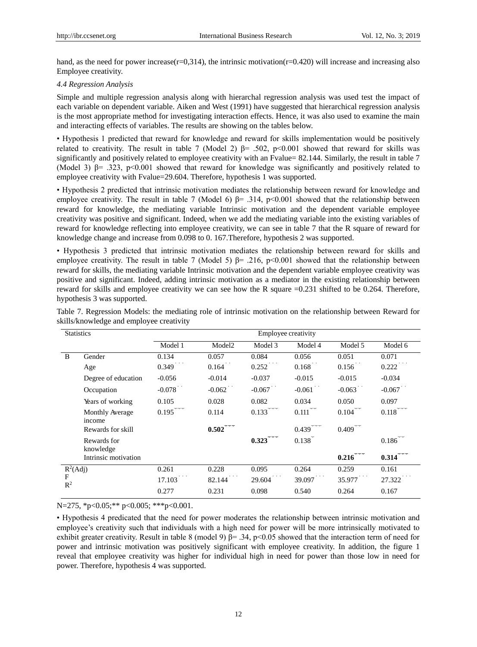hand, as the need for power increase(r=0,314), the intrinsic motivation(r=0,420) will increase and increasing also Employee creativity.

## *4.4 Regression Analysis*

Simple and multiple regression analysis along with hierarchal regression analysis was used test the impact of each variable on dependent variable. Aiken and West (1991) have suggested that hierarchical regression analysis is the most appropriate method for investigating interaction effects. Hence, it was also used to examine the main and interacting effects of variables. The results are showing on the tables below.

• Hypothesis 1 predicted that reward for knowledge and reward for skills implementation would be positively related to creativity. The result in table 7 (Model 2) β= .502, p<0.001 showed that reward for skills was significantly and positively related to employee creativity with an Fvalue= 82.144. Similarly, the result in table 7 (Model 3)  $\beta$ = .323, p<0.001 showed that reward for knowledge was significantly and positively related to employee creativity with Fvalue=29.604. Therefore, hypothesis 1 was supported.

• Hypothesis 2 predicted that intrinsic motivation mediates the relationship between reward for knowledge and employee creativity. The result in table 7 (Model 6)  $\beta$ = .314, p<0.001 showed that the relationship between reward for knowledge, the mediating variable Intrinsic motivation and the dependent variable employee creativity was positive and significant. Indeed, when we add the mediating variable into the existing variables of reward for knowledge reflecting into employee creativity, we can see in table 7 that the R square of reward for knowledge change and increase from 0.098 to 0. 167.Therefore, hypothesis 2 was supported.

• Hypothesis 3 predicted that intrinsic motivation mediates the relationship between reward for skills and employee creativity. The result in table 7 (Model 5)  $\beta$ = .216, p<0.001 showed that the relationship between reward for skills, the mediating variable Intrinsic motivation and the dependent variable employee creativity was positive and significant. Indeed, adding intrinsic motivation as a mediator in the existing relationship between reward for skills and employee creativity we can see how the R square =0.231 shifted to be 0.264. Therefore, hypothesis 3 was supported.

|                     | <b>Statistics</b>         |            | Employee creativity         |                     |                       |          |          |  |  |  |  |
|---------------------|---------------------------|------------|-----------------------------|---------------------|-----------------------|----------|----------|--|--|--|--|
|                     |                           | Model 1    | Model <sub>2</sub>          | Model 3             | Model 4               | Model 5  | Model 6  |  |  |  |  |
| B                   | Gender                    | 0.134      | 0.057                       | 0.084               | 0.056                 | 0.051    | 0.071    |  |  |  |  |
|                     | Age                       | 0.349      | 0.164                       | 0.252               | $0.168$ <sup>**</sup> | 0.156    | 0.222    |  |  |  |  |
|                     | Degree of education       | $-0.056$   | $-0.014$                    | $-0.037$            | $-0.015$              | $-0.015$ | $-0.034$ |  |  |  |  |
|                     | Occupation                | $-0.078$   | $-0.062$                    | $-0.067$            | $-0.061$              | $-0.063$ | $-0.067$ |  |  |  |  |
|                     | Years of working          | 0.105      | 0.028                       | 0.082               | 0.034                 | 0.050    | 0.097    |  |  |  |  |
|                     | Monthly Average<br>income | 0.195      | 0.114                       | 0.133               | 0.111                 | 0.104    | 0.118    |  |  |  |  |
|                     | Rewards for skill         |            | <b>Springs Spr</b><br>0.502 |                     | man man man<br>0.439  | 0.409    |          |  |  |  |  |
|                     | Rewards for<br>knowledge  |            |                             | ar nan nan<br>0.323 | 0.138                 |          | 0.186    |  |  |  |  |
|                     | Intrinsic motivation      |            |                             |                     |                       | 0.216    | 0.314    |  |  |  |  |
| $R^2(Adj)$          |                           | 0.261      | 0.228                       | 0.095               | 0.264                 | 0.259    | 0.161    |  |  |  |  |
| F<br>$\mathbb{R}^2$ |                           | <br>17.103 | 82.144                      | 29.604              | 39.097                | 35.977   | 27.322   |  |  |  |  |
|                     |                           | 0.277      | 0.231                       | 0.098               | 0.540                 | 0.264    | 0.167    |  |  |  |  |

Table 7. Regression Models: the mediating role of intrinsic motivation on the relationship between Reward for skills/knowledge and employee creativity

N=275,  $p<0.05$ ; \*\* p<0.005; \*\*\* p<0.001.

• Hypothesis 4 predicated that the need for power moderates the relationship between intrinsic motivation and employee's creativity such that individuals with a high need for power will be more intrinsically motivated to exhibit greater creativity. Result in table 8 (model 9)  $\beta$ = .34, p<0.05 showed that the interaction term of need for power and intrinsic motivation was positively significant with employee creativity. In addition, the figure 1 reveal that employee creativity was higher for individual high in need for power than those low in need for power. Therefore, hypothesis 4 was supported.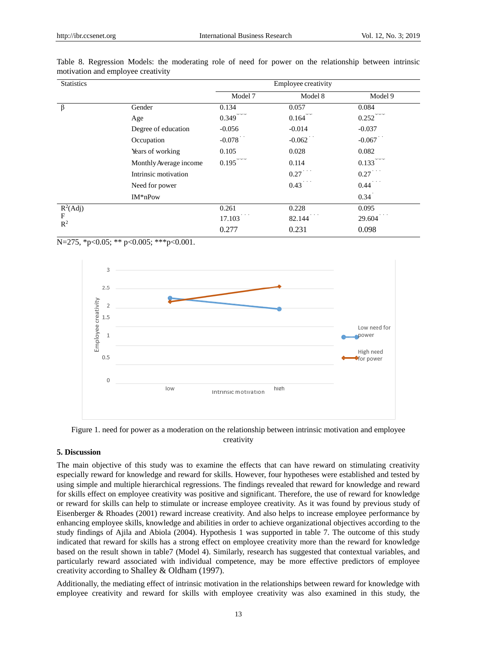| <b>Statistics</b>   |                        | Employee creativity   |                       |                       |  |  |  |  |  |
|---------------------|------------------------|-----------------------|-----------------------|-----------------------|--|--|--|--|--|
|                     |                        | Model 7               | Model 8               | Model 9               |  |  |  |  |  |
| $\beta$             | Gender                 | 0.134                 | 0.057                 | 0.084                 |  |  |  |  |  |
|                     | Age                    | nga nga nga<br>0.349  | 0.164                 | nga nga ng<br>0.252   |  |  |  |  |  |
|                     | Degree of education    | $-0.056$              | $-0.014$              | $-0.037$              |  |  |  |  |  |
|                     | Occupation             | $-0.078$              | $-0.062$              | $-0.067$              |  |  |  |  |  |
|                     | Years of working       | 0.105                 | 0.028                 | 0.082                 |  |  |  |  |  |
|                     | Monthly Average income | 0.195                 | 0.114                 | 나는 나는 나는<br>0.133     |  |  |  |  |  |
|                     | Intrinsic motivation   |                       | 0.27                  | the about<br>0.27     |  |  |  |  |  |
|                     | Need for power         |                       | nga nga nga<br>0.43   | age age age<br>0.44   |  |  |  |  |  |
|                     | $IM*nPow$              |                       |                       | $0.34$ <sup>*</sup>   |  |  |  |  |  |
| $R^2(Adj)$          |                        | 0.261                 | 0.228                 | 0.095                 |  |  |  |  |  |
| F<br>$\mathbb{R}^2$ |                        | nga nga nga<br>17.103 | nga nga nga<br>82.144 | nga aga aga<br>29.604 |  |  |  |  |  |
|                     |                        | 0.277                 | 0.231                 | 0.098                 |  |  |  |  |  |

|  |                                    |  |  |  |  |  | Table 8. Regression Models: the moderating role of need for power on the relationship between intrinsic |  |
|--|------------------------------------|--|--|--|--|--|---------------------------------------------------------------------------------------------------------|--|
|  | motivation and employee creativity |  |  |  |  |  |                                                                                                         |  |

N=275, \*p<0.05; \*\* p<0.005; \*\*\*p<0.001.



Figure 1. need for power as a moderation on the relationship between intrinsic motivation and employee creativity

## **5. Discussion**

The main objective of this study was to examine the effects that can have reward on stimulating creativity especially reward for knowledge and reward for skills. However, four hypotheses were established and tested by using simple and multiple hierarchical regressions. The findings revealed that reward for knowledge and reward for skills effect on employee creativity was positive and significant. Therefore, the use of reward for knowledge or reward for skills can help to stimulate or increase employee creativity. As it was found by previous study of Eisenberger & Rhoades (2001) reward increase creativity. And also helps to increase employee performance by enhancing employee skills, knowledge and abilities in order to achieve organizational objectives according to the study findings of Ajila and Abiola (2004). Hypothesis 1 was supported in table 7. The outcome of this study indicated that reward for skills has a strong effect on employee creativity more than the reward for knowledge based on the result shown in table7 (Model 4). Similarly, research has suggested that contextual variables, and particularly reward associated with individual competence, may be more effective predictors of employee creativity according to Shalley & Oldham (1997).

Additionally, the mediating effect of intrinsic motivation in the relationships between reward for knowledge with employee creativity and reward for skills with employee creativity was also examined in this study, the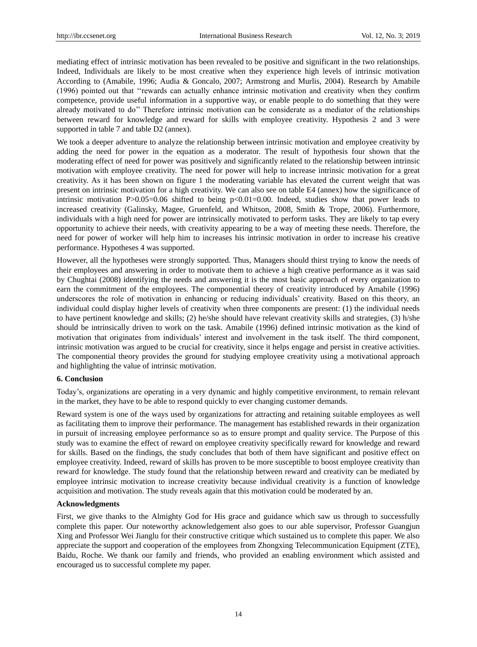mediating effect of intrinsic motivation has been revealed to be positive and significant in the two relationships. Indeed, Individuals are likely to be most creative when they experience high levels of intrinsic motivation According to (Amabile, 1996; Audia & Goncalo, 2007; Armstrong and Murlis, 2004). Research by Amabile (1996) pointed out that ‗‗rewards can actually enhance intrinsic motivation and creativity when they confirm competence, provide useful information in a supportive way, or enable people to do something that they were already motivated to do'' Therefore intrinsic motivation can be considerate as a mediator of the relationships between reward for knowledge and reward for skills with employee creativity. Hypothesis 2 and 3 were supported in table 7 and table D2 (annex).

We took a deeper adventure to analyze the relationship between intrinsic motivation and employee creativity by adding the need for power in the equation as a moderator. The result of hypothesis four shown that the moderating effect of need for power was positively and significantly related to the relationship between intrinsic motivation with employee creativity. The need for power will help to increase intrinsic motivation for a great creativity. As it has been shown on figure 1 the moderating variable has elevated the current weight that was present on intrinsic motivation for a high creativity. We can also see on table E4 (annex) how the significance of intrinsic motivation P $>0.05=0.06$  shifted to being  $p<0.01=0.00$ . Indeed, studies show that power leads to increased creativity (Galinsky, Magee, Gruenfeld, and Whitson, 2008, Smith & Trope, 2006). Furthermore, individuals with a high need for power are intrinsically motivated to perform tasks. They are likely to tap every opportunity to achieve their needs, with creativity appearing to be a way of meeting these needs. Therefore, the need for power of worker will help him to increases his intrinsic motivation in order to increase his creative performance. Hypotheses 4 was supported.

However, all the hypotheses were strongly supported. Thus, Managers should thirst trying to know the needs of their employees and answering in order to motivate them to achieve a high creative performance as it was said by Chughtai (2008) identifying the needs and answering it is the most basic approach of every organization to earn the commitment of the employees. The componential theory of creativity introduced by Amabile (1996) underscores the role of motivation in enhancing or reducing individuals' creativity. Based on this theory, an individual could display higher levels of creativity when three components are present: (1) the individual needs to have pertinent knowledge and skills; (2) he/she should have relevant creativity skills and strategies, (3) h/she should be intrinsically driven to work on the task. Amabile (1996) defined intrinsic motivation as the kind of motivation that originates from individuals' interest and involvement in the task itself. The third component, intrinsic motivation was argued to be crucial for creativity, since it helps engage and persist in creative activities. The componential theory provides the ground for studying employee creativity using a motivational approach and highlighting the value of intrinsic motivation.

#### **6. Conclusion**

Today's, organizations are operating in a very dynamic and highly competitive environment, to remain relevant in the market, they have to be able to respond quickly to ever changing customer demands.

Reward system is one of the ways used by organizations for attracting and retaining suitable employees as well as facilitating them to improve their performance. The management has established rewards in their organization in pursuit of increasing employee performance so as to ensure prompt and quality service. The Purpose of this study was to examine the effect of reward on employee creativity specifically reward for knowledge and reward for skills. Based on the findings, the study concludes that both of them have significant and positive effect on employee creativity. Indeed, reward of skills has proven to be more susceptible to boost employee creativity than reward for knowledge. The study found that the relationship between reward and creativity can be mediated by employee intrinsic motivation to increase creativity because individual creativity is a function of knowledge acquisition and motivation. The study reveals again that this motivation could be moderated by an.

#### **Acknowledgments**

First, we give thanks to the Almighty God for His grace and guidance which saw us through to successfully complete this paper. Our noteworthy acknowledgement also goes to our able supervisor, Professor Guangjun Xing and Professor Wei Jianglu for their constructive critique which sustained us to complete this paper. We also appreciate the support and cooperation of the employees from Zhongxing Telecommunication Equipment (ZTE), Baidu, Roche. We thank our family and friends, who provided an enabling environment which assisted and encouraged us to successful complete my paper.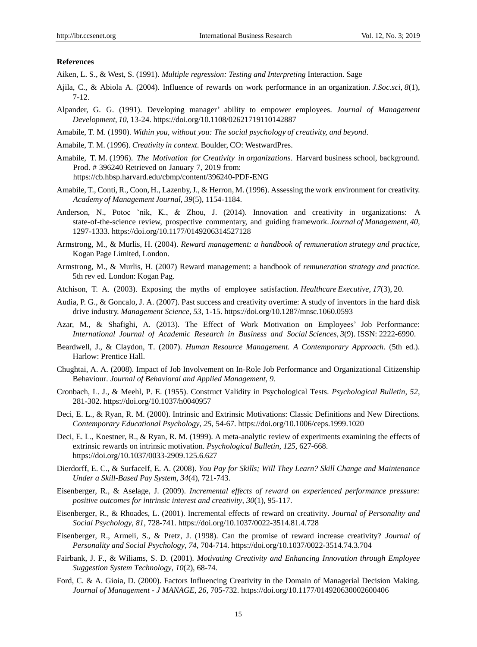## **References**

Aiken, L. S., & West, S. (1991). *Multiple regression: Testing and Interpreting* Interaction. Sage

- Ajila, C., & Abiola A. (2004). Influence of rewards on work performance in an organization*. J.Soc.sci*, *8*(1), 7-12.
- Alpander, G. G. (1991). Developing manager' ability to empower employees. *Journal of Management Development, 10,* 13-24. https://doi.org/10.1108/02621719110142887
- Amabile, T. M. (1990). *Within you, without you: The social psychology of creativity, and beyond*.
- Amabile, T. M. (1996). *Creativity in context*. Boulder, CO: WestwardPres.
- Amabile, T. M. (1996). *The Motivation for Creativity in organizations*. Harvard business school, background. Prod. # 396240 Retrieved on January 7, 2019 from: <https://cb.hbsp.harvard.edu/cbmp/content/396240-PDF-ENG>
- Amabile, T., Conti, R., Coon, H., Lazenby,J., & Herron, M. (1996). Assessing the work environment for creativity. *Academy of Management Journal, 39*(5), 1154-1184.
- Anderson, N., Potoc `nik, K., & Zhou, J. (2014). Innovation and creativity in organizations: A state-of-the-science review, prospective commentary, and guiding framework. *Journal of Management*, *40,* 1297-1333. https://doi.org/10.1177/0149206314527128
- Armstrong, M., & Murlis, H. (2004). *Reward management: a handbook of remuneration strategy and practice*, Kogan Page Limited, London.
- Armstrong, M., & Murlis, H. (2007) Reward management: a handbook of *remuneration strategy and practice*. 5th rev ed. London: Kogan Pag.
- Atchison, T. A. (2003). Exposing the myths of employee satisfaction. *Healthcare Executive*, *17*(3), 20.
- Audia, P. G., & Goncalo, J. A. (2007). Past success and creativity overtime: A study of inventors in the hard disk drive industry. *Management Science*, *53*, 1-15. https://doi.org/10.1287/mnsc.1060.0593
- Azar, M., & Shafighi, A. (2013). The Effect of Work Motivation on Employees' Job Performance: *International Journal of Academic Research in Business and Social Sciences*, *3*(9). ISSN: 2222-6990.
- Beardwell, J., & Claydon, T. (2007). *Human Resource Management. A Contemporary Approach*. (5th ed.). Harlow: Prentice Hall.
- Chughtai, A. A. (2008). Impact of Job Involvement on In-Role Job Performance and Organizational Citizenship Behaviour. *Journal of Behavioral and Applied Management*, *9.*
- Cronbach, L. J., & Meehl, P. E. (1955). Construct Validity in Psychological Tests. *Psychological Bulletin*, *52,*  281-302. https://doi.org/10.1037/h0040957
- Deci, E. L., & Ryan, R. M. (2000). Intrinsic and Extrinsic Motivations: Classic Definitions and New Directions. *Contemporary Educational Psychology, 25,* 54-67. https://doi.org/10.1006/ceps.1999.1020
- Deci, E. L., Koestner, R., & Ryan, R. M. (1999). A meta-analytic review of experiments examining the effects of extrinsic rewards on intrinsic motivation. *Psychological Bulletin*, *125,* 627-668. https://doi.org/10.1037/0033-2909.125.6.627
- Dierdorff, E. C., & SurfaceIf, E. A. (2008). *You Pay for Skills; Will They Learn? Skill Change and Maintenance Under a Skill-Based Pay System, 34*(4), 721-743.
- Eisenberger, R., & Aselage, J. (2009). *Incremental effects of reward on experienced performance pressure: positive outcomes for intrinsic interest and creativity, 30*(1), 95-117.
- Eisenberger, R., & Rhoades, L. (2001). Incremental effects of reward on creativity. *Journal of Personality and Social Psychology*, *81,* 728-741. https://doi.org/10.1037/0022-3514.81.4.728
- Eisenberger, R., Armeli, S., & Pretz, J. (1998). Can the promise of reward increase creativity? *Journal of Personality and Social Psychology, 74,* 704-714. https://doi.org/10.1037/0022-3514.74.3.704
- Fairbank, J. F., & Wiliams, S. D. (2001). *Motivating Creativity and Enhancing Innovation through Employee Suggestion System Technology*, *10*(2), 68-74.
- Ford, C. & A. Gioia, D. (2000). Factors Influencing Creativity in the Domain of Managerial Decision Making. *Journal of Management - J MANAGE*, *26,* 705-732. https://doi.org/10.1177/014920630002600406